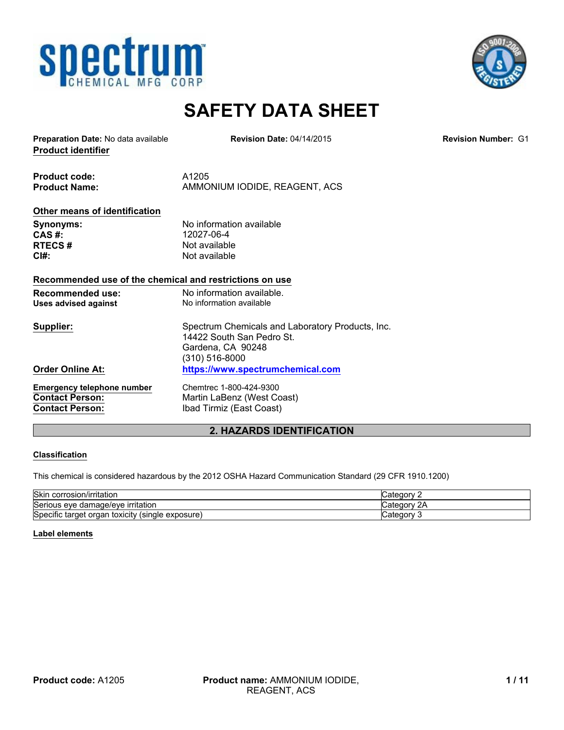



# **SAFETY DATA SHEET**

**Product identifier Preparation Date:** No data available **Revision Number:** G1

**Revision Date:** 04/14/2015

**Product code:** A1205 Product Name: AMMONIUM IODIDE, REAGENT, ACS

# **Other means of identification**

**CAS #:** 12027-06-4<br> **RTECS #** Not available

**Synonyms:** No information available<br> **CAS** #: 12027-06-4 **Not available CI#:** Not available

#### **Recommended use of the chemical and restrictions on use**

| <b>Recommended use:</b><br>Uses advised against | No information available.<br>No information available                                                                |
|-------------------------------------------------|----------------------------------------------------------------------------------------------------------------------|
| Supplier:                                       | Spectrum Chemicals and Laboratory Products, Inc.<br>14422 South San Pedro St.<br>Gardena, CA 90248<br>(310) 516-8000 |
| <b>Order Online At:</b>                         | https://www.spectrumchemical.com                                                                                     |
| <b>Emergency telephone number</b>               | Chemtrec 1-800-424-9300                                                                                              |
| <b>Contact Person:</b>                          | Martin LaBenz (West Coast)                                                                                           |
| <b>Contact Person:</b>                          | Ibad Tirmiz (East Coast)                                                                                             |

# **2. HAZARDS IDENTIFICATION**

#### **Classification**

This chemical is considered hazardous by the 2012 OSHA Hazard Communication Standard (29 CFR 1910.1200)

| Skir<br>corrosion/irritation                                                                               | ⊜ategory ∵       |
|------------------------------------------------------------------------------------------------------------|------------------|
| Serious eye damage/eye<br>e irritation                                                                     | ∽ vior~<br>Catec |
| Specific<br>' (single exposure)<br>: tarqet orqar<br>toxicity<br>$\cdot$ $\cdot$<br>. .<br>$\cdot$ $\cdot$ | ⊜ategory ∵       |

#### **Label elements**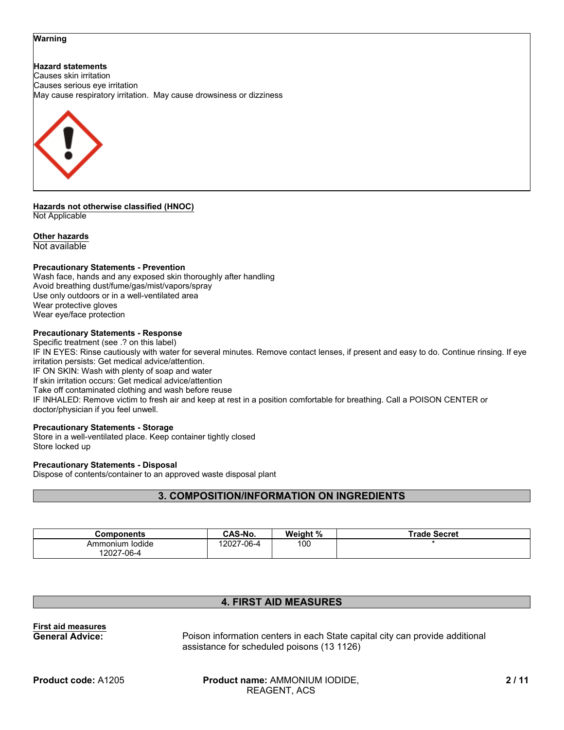#### **Warning**

**Hazard statements** Causes skin irritation Causes serious eye irritation May cause respiratory irritation. May cause drowsiness or dizziness



**Hazards not otherwise classified (HNOC)** Not Applicable

#### **Other hazards**

Not available

#### **Precautionary Statements - Prevention**

Wash face, hands and any exposed skin thoroughly after handling Avoid breathing dust/fume/gas/mist/vapors/spray Use only outdoors or in a well-ventilated area Wear protective gloves Wear eye/face protection

#### **Precautionary Statements - Response**

Specific treatment (see .? on this label) IF IN EYES: Rinse cautiously with water for several minutes. Remove contact lenses, if present and easy to do. Continue rinsing. If eye irritation persists: Get medical advice/attention. IF ON SKIN: Wash with plenty of soap and water If skin irritation occurs: Get medical advice/attention Take off contaminated clothing and wash before reuse IF INHALED: Remove victim to fresh air and keep at rest in a position comfortable for breathing. Call a POISON CENTER or doctor/physician if you feel unwell.

#### **Precautionary Statements - Storage**

Store in a well-ventilated place. Keep container tightly closed Store locked up

#### **Precautionary Statements - Disposal**

Dispose of contents/container to an approved waste disposal plant

# **3. COMPOSITION/INFORMATION ON INGREDIENTS**

| Components      | CAS-No.    | Weight % | <b>Trade Secret</b> |
|-----------------|------------|----------|---------------------|
| Ammonium Iodide | 12027-06-4 | 100      |                     |
| 12027-06-4      |            |          |                     |

# **4. FIRST AID MEASURES**

**First aid measures**

**General Advice:** Poison information centers in each State capital city can provide additional assistance for scheduled poisons (13 1126)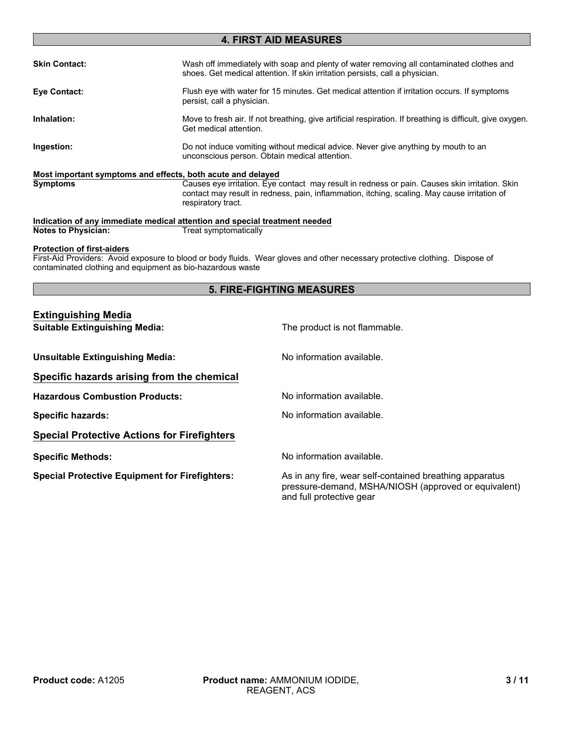# **4. FIRST AID MEASURES**

| <b>Skin Contact:</b> | Wash off immediately with soap and plenty of water removing all contaminated clothes and<br>shoes. Get medical attention. If skin irritation persists, call a physician.                       |
|----------------------|------------------------------------------------------------------------------------------------------------------------------------------------------------------------------------------------|
| Eye Contact:         | Flush eye with water for 15 minutes. Get medical attention if irritation occurs. If symptoms<br>persist, call a physician.                                                                     |
| Inhalation:          | Move to fresh air. If not breathing, give artificial respiration. If breathing is difficult, give oxygen.<br>Get medical attention.                                                            |
| Ingestion:           | Do not induce vomiting without medical advice. Never give anything by mouth to an<br>unconscious person. Obtain medical attention.                                                             |
|                      | Most important symptoms and effects, both acute and delayed                                                                                                                                    |
| <b>Symptoms</b>      | Causes eye irritation. Eye contact may result in redness or pain. Causes skin irritation. Skin<br>contact may result in redness, pain, inflammation, itching, scaling. May cause irritation of |

**Indication of any immediate medical attention and special treatment needed Notes to Physician:** Treat symptomatically

respiratory tract.

#### **Protection of first-aiders**

First-Aid Providers: Avoid exposure to blood or body fluids. Wear gloves and other necessary protective clothing. Dispose of contaminated clothing and equipment as bio-hazardous waste

## **5. FIRE-FIGHTING MEASURES**

#### **Extinguishing Media**

| <b>Extinguishing media</b>                            |                                                                                                                                             |
|-------------------------------------------------------|---------------------------------------------------------------------------------------------------------------------------------------------|
| <b>Suitable Extinguishing Media:</b>                  | The product is not flammable.                                                                                                               |
| <b>Unsuitable Extinguishing Media:</b>                | No information available.                                                                                                                   |
| Specific hazards arising from the chemical            |                                                                                                                                             |
| <b>Hazardous Combustion Products:</b>                 | No information available.                                                                                                                   |
| <b>Specific hazards:</b>                              | No information available.                                                                                                                   |
| <b>Special Protective Actions for Firefighters</b>    |                                                                                                                                             |
| <b>Specific Methods:</b>                              | No information available.                                                                                                                   |
| <b>Special Protective Equipment for Firefighters:</b> | As in any fire, wear self-contained breathing apparatus<br>pressure-demand, MSHA/NIOSH (approved or equivalent)<br>and full protective gear |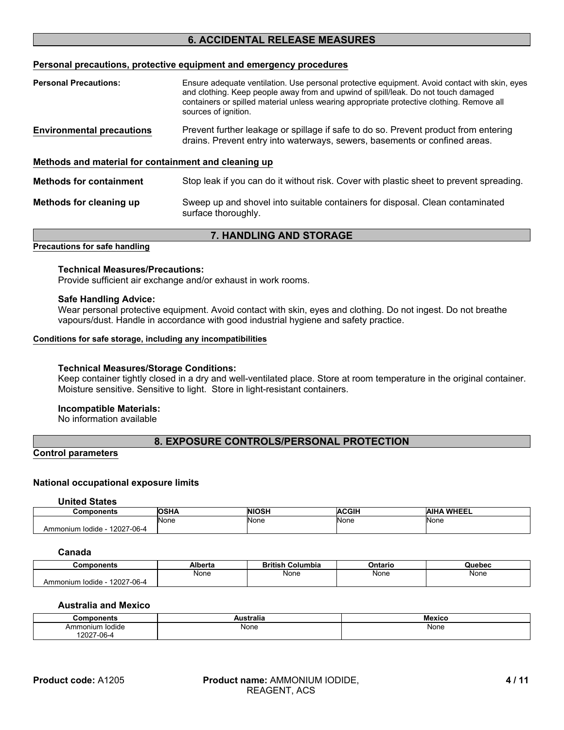# **6. ACCIDENTAL RELEASE MEASURES**

#### **Personal precautions, protective equipment and emergency procedures**

| <b>Personal Precautions:</b>                         | Ensure adequate ventilation. Use personal protective equipment. Avoid contact with skin, eyes<br>and clothing. Keep people away from and upwind of spill/leak. Do not touch damaged<br>containers or spilled material unless wearing appropriate protective clothing. Remove all<br>sources of ignition. |
|------------------------------------------------------|----------------------------------------------------------------------------------------------------------------------------------------------------------------------------------------------------------------------------------------------------------------------------------------------------------|
| <b>Environmental precautions</b>                     | Prevent further leakage or spillage if safe to do so. Prevent product from entering<br>drains. Prevent entry into waterways, sewers, basements or confined areas.                                                                                                                                        |
| Methods and material for containment and cleaning up |                                                                                                                                                                                                                                                                                                          |
| <b>Methods for containment</b>                       | Stop leak if you can do it without risk. Cover with plastic sheet to prevent spreading.                                                                                                                                                                                                                  |
| Methods for cleaning up                              | Sweep up and shovel into suitable containers for disposal. Clean contaminated<br>surface thoroughly.                                                                                                                                                                                                     |

#### **7. HANDLING AND STORAGE**

**Precautions for safe handling**

#### **Technical Measures/Precautions:**

Provide sufficient air exchange and/or exhaust in work rooms.

#### **Safe Handling Advice:**

Wear personal protective equipment. Avoid contact with skin, eyes and clothing. Do not ingest. Do not breathe vapours/dust. Handle in accordance with good industrial hygiene and safety practice.

#### **Conditions for safe storage, including any incompatibilities**

#### **Technical Measures/Storage Conditions:**

Keep container tightly closed in a dry and well-ventilated place. Store at room temperature in the original container. Moisture sensitive. Sensitive to light. Store in light-resistant containers.

#### **Incompatible Materials:**

No information available

# **8. EXPOSURE CONTROLS/PERSONAL PROTECTION**

**Control parameters**

#### **National occupational exposure limits**

**United States**

| Components                       | <b>OSHA</b> | <b>NIOSH</b> | <b>ACGIH</b> | <b>WHEEL</b><br><b>AIHA</b> |
|----------------------------------|-------------|--------------|--------------|-----------------------------|
|                                  | <b>None</b> | None         | None         | None                        |
| 12027-06-4<br>lodide<br>Ammonium |             |              |              |                             |

#### **Canada**

| Components                                       | Alberta | <b>British</b><br>Columbia | Ontario | Quebec |
|--------------------------------------------------|---------|----------------------------|---------|--------|
|                                                  | None    | None                       | None    | None   |
| 10027<br>-06-4<br>. Iodide -<br>Ammonium<br>1202 |         |                            |         |        |

#### **Australia and Mexico**

| Components         | $ -$<br>ustralia<br>∼ | <b>Mexico</b> |
|--------------------|-----------------------|---------------|
| lodide<br>Ammonium | None                  | None          |
| $'2027-06-4$       |                       |               |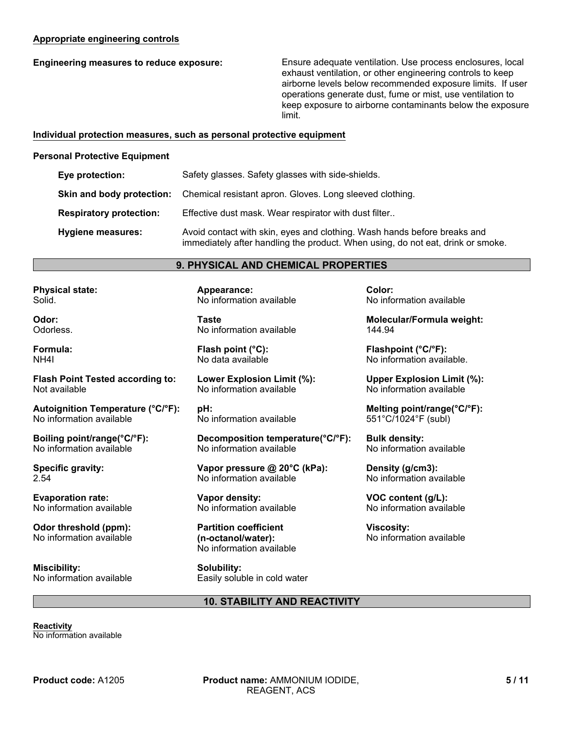## **Appropriate engineering controls**

**Engineering measures to reduce exposure:** Ensure adequate ventilation. Use process enclosures, local exhaust ventilation, or other engineering controls to keep airborne levels below recommended exposure limits. If user operations generate dust, fume or mist, use ventilation to keep exposure to airborne contaminants below the exposure limit.

#### **Individual protection measures, such as personal protective equipment**

#### **Personal Protective Equipment**

| Eye protection:                | Safety glasses. Safety glasses with side-shields.                                                                                                           |
|--------------------------------|-------------------------------------------------------------------------------------------------------------------------------------------------------------|
| Skin and body protection:      | Chemical resistant apron. Gloves. Long sleeved clothing.                                                                                                    |
| <b>Respiratory protection:</b> | Effective dust mask. Wear respirator with dust filter                                                                                                       |
| Hygiene measures:              | Avoid contact with skin, eyes and clothing. Wash hands before breaks and<br>immediately after handling the product. When using, do not eat, drink or smoke. |

# **9. PHYSICAL AND CHEMICAL PROPERTIES**

**Physical state:** Solid.

**Odor:** Odorless.

**Formula:** NH4I

**Flash Point Tested according to:** Not available

**Autoignition Temperature (°C/°F):** No information available

**Boiling point/range(°C/°F):** No information available

**Specific gravity:** 2.54

**Evaporation rate:** No information available

**Odor threshold (ppm):** No information available

**Miscibility:** No information available **Appearance:** No information available

**Taste** No information available

**Flash point (°C):** No data available

**Lower Explosion Limit (%):** No information available

**pH:** No information available

**Decomposition temperature(°C/°F):** No information available

**Vapor pressure @ 20°C (kPa):** No information available

**Vapor density:** No information available

**Partition coefficient (n-octanol/water):** No information available

**Solubility:** Easily soluble in cold water **Color:** No information available

**Molecular/Formula weight:** 144.94

**Flashpoint (°C/°F):** No information available.

**Upper Explosion Limit (%):** No information available

**Melting point/range(°C/°F):** 551°C/1024°F (subl)

**Bulk density:** No information available

**Density (g/cm3):** No information available

**VOC content (g/L):** No information available

**Viscosity:** No information available

# **10. STABILITY AND REACTIVITY**

**Reactivity** No information available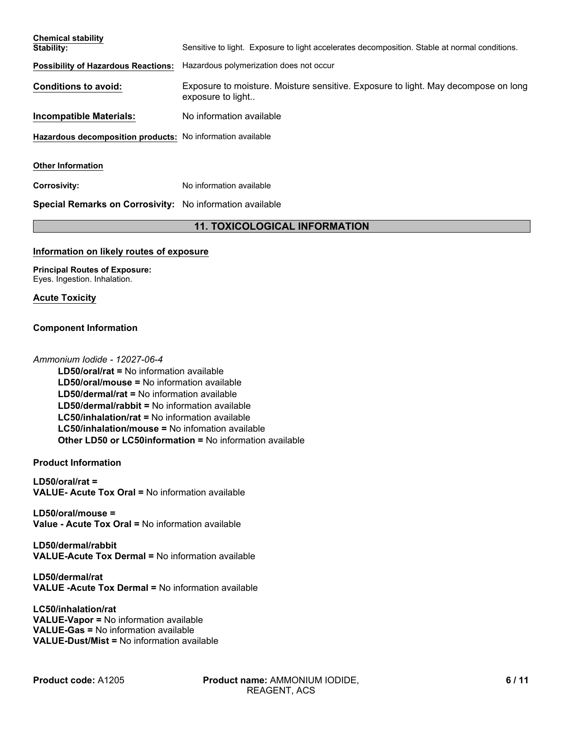| <b>Chemical stability</b>                                  |                                                                                                         |
|------------------------------------------------------------|---------------------------------------------------------------------------------------------------------|
| Stability:                                                 | Sensitive to light. Exposure to light accelerates decomposition. Stable at normal conditions.           |
| <b>Possibility of Hazardous Reactions:</b>                 | Hazardous polymerization does not occur                                                                 |
| <b>Conditions to avoid:</b>                                | Exposure to moisture. Moisture sensitive. Exposure to light. May decompose on long<br>exposure to light |
| Incompatible Materials:                                    | No information available                                                                                |
| Hazardous decomposition products: No information available |                                                                                                         |
| <b>Other Information</b>                                   |                                                                                                         |
| <b>Corrosivity:</b>                                        | No information available                                                                                |
| Special Remarks on Corrosivity: No information available   |                                                                                                         |
|                                                            |                                                                                                         |

# **11. TOXICOLOGICAL INFORMATION**

#### **Information on likely routes of exposure**

**Principal Routes of Exposure:** Eyes. Ingestion. Inhalation.

#### **Acute Toxicity**

#### **Component Information**

#### *Ammonium Iodide - 12027-06-4*

**LD50/oral/mouse =** No information available **LC50/inhalation/mouse =** No infomation available **LD50/oral/rat =** No information available **Other LD50 or LC50information =** No information available **LD50/dermal/rat =** No information available **LD50/dermal/rabbit =** No information available **LC50/inhalation/rat =** No information available

#### **Product Information**

**LD50/oral/rat = VALUE- Acute Tox Oral =** No information available

**LD50/oral/mouse = Value - Acute Tox Oral =** No information available

**LD50/dermal/rabbit VALUE-Acute Tox Dermal =** No information available

**LD50/dermal/rat VALUE -Acute Tox Dermal =** No information available

#### **LC50/inhalation/rat VALUE-Vapor =** No information available **VALUE-Gas =** No information available **VALUE-Dust/Mist =** No information available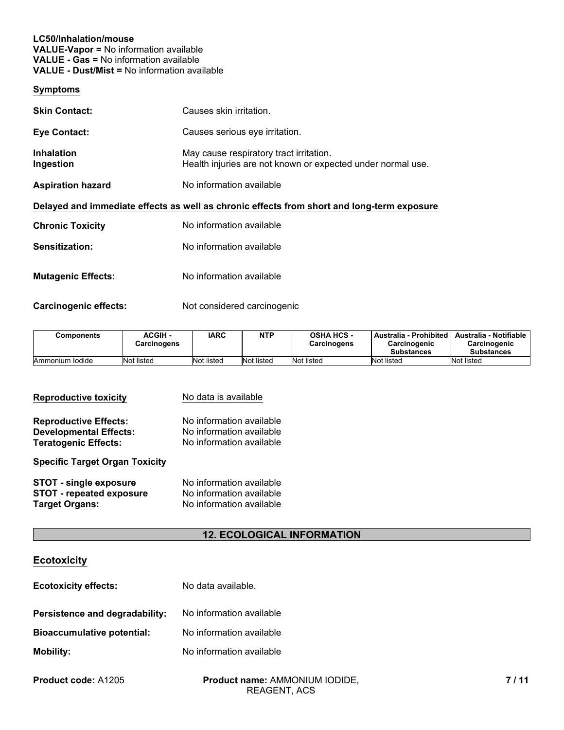#### **LC50/Inhalation/mouse VALUE-Vapor =** No information available **VALUE - Gas =** No information available **VALUE - Dust/Mist =** No information available

#### **Symptoms**

| <b>Skin Contact:</b>           | Causes skin irritation.                                                                                |
|--------------------------------|--------------------------------------------------------------------------------------------------------|
| <b>Eye Contact:</b>            | Causes serious eye irritation.                                                                         |
| <b>Inhalation</b><br>Ingestion | May cause respiratory tract irritation.<br>Health injuries are not known or expected under normal use. |
| <b>Aspiration hazard</b>       | No information available                                                                               |
|                                | Delayed and immediate effects as well as chronic effects from short and long-term exposure             |
| <b>Chronic Toxicity</b>        | No information available                                                                               |
| Sensitization:                 | No information available                                                                               |
| <b>Mutagenic Effects:</b>      | No information available                                                                               |

Carcinogenic effects: Not considered carcinogenic

| Components      | <b>ACGIH -</b><br>Carcinogens | <b>IARC</b> | NTP        | <b>OSHA HCS -</b><br><b>Carcinogens</b> | I Australia - Prohibited<br>Carcinogenic<br><b>Substances</b> | Australia - Notifiable<br>Carcinogenic<br><b>Substances</b> |
|-----------------|-------------------------------|-------------|------------|-----------------------------------------|---------------------------------------------------------------|-------------------------------------------------------------|
| Ammonium lodide | Not listed                    | Not listed  | Not listed | Not listed                              | Not listed                                                    | Not listed                                                  |

| <b>Reproductive toxicity</b>          | No data is available     |
|---------------------------------------|--------------------------|
| <b>Reproductive Effects:</b>          | No information available |
| <b>Developmental Effects:</b>         | No information available |
| <b>Teratogenic Effects:</b>           | No information available |
| <b>Specific Target Organ Toxicity</b> |                          |
| <b>STOT - single exposure</b>         | No information available |
| <b>STOT - repeated exposure</b>       | No information available |
| <b>Target Organs:</b>                 | No information available |

# **12. ECOLOGICAL INFORMATION**

# **Ecotoxicity**

| <b>Ecotoxicity effects:</b>       | No data available.       |
|-----------------------------------|--------------------------|
| Persistence and degradability:    | No information available |
| <b>Bioaccumulative potential:</b> | No information available |
| <b>Mobility:</b>                  | No information available |
|                                   |                          |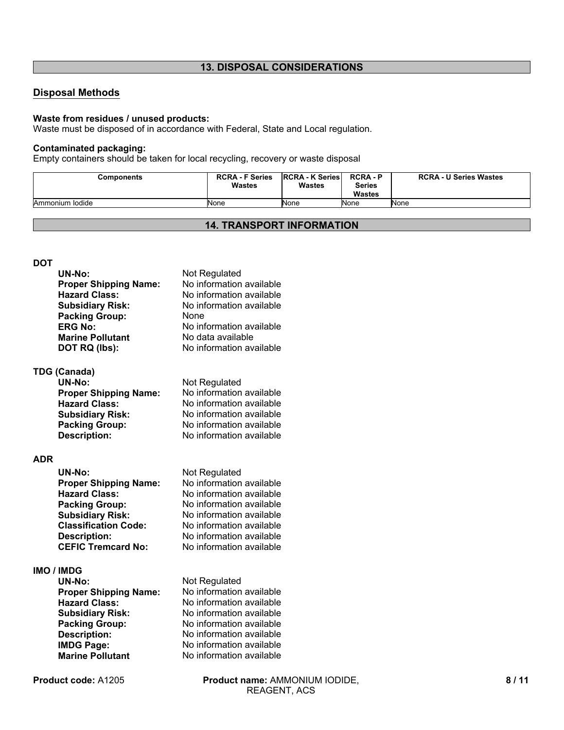# **13. DISPOSAL CONSIDERATIONS**

# **Disposal Methods**

#### **Waste from residues / unused products:**

Waste must be disposed of in accordance with Federal, State and Local regulation.

# **Contaminated packaging:**

Empty containers should be taken for local recycling, recovery or waste disposal

| Components      | <b>RCRA - F Series</b><br>Wastes | <b>RCRA - K Series</b><br><b>Wastes</b> | <b>RCRA-P</b><br>Series<br><b>Wastes</b> | <b>RCRA - U Series Wastes</b> |
|-----------------|----------------------------------|-----------------------------------------|------------------------------------------|-------------------------------|
| Ammonium Iodide | None                             | None                                    | <b>None</b>                              | None                          |

# **14. TRANSPORT INFORMATION**

#### **DOT**

|            | UN-No:                       | Not Regulated            |
|------------|------------------------------|--------------------------|
|            | <b>Proper Shipping Name:</b> | No information available |
|            | <b>Hazard Class:</b>         | No information available |
|            | <b>Subsidiary Risk:</b>      | No information available |
|            | <b>Packing Group:</b>        | None                     |
|            | <b>ERG No:</b>               | No information available |
|            | <b>Marine Pollutant</b>      | No data available        |
|            | DOT RQ (lbs):                | No information available |
|            |                              |                          |
|            | <b>TDG (Canada)</b>          |                          |
|            | <b>UN-No:</b>                | Not Regulated            |
|            | <b>Proper Shipping Name:</b> | No information available |
|            | <b>Hazard Class:</b>         | No information available |
|            | <b>Subsidiary Risk:</b>      | No information available |
|            | <b>Packing Group:</b>        | No information available |
|            | <b>Description:</b>          | No information available |
|            |                              |                          |
| <b>ADR</b> |                              |                          |
|            | <b>UN-No:</b>                | Not Regulated            |
|            | <b>Proper Shipping Name:</b> | No information available |
|            | <b>Hazard Class:</b>         | No information available |
|            | <b>Packing Group:</b>        | No information available |
|            | <b>Subsidiary Risk:</b>      | No information available |
|            | <b>Classification Code:</b>  | No information available |
|            | <b>Description:</b>          | No information available |
|            | <b>CEFIC Tremcard No:</b>    | No information available |
|            |                              |                          |
|            | <b>IMO / IMDG</b>            |                          |
|            | <b>UN-No:</b>                | Not Regulated            |
|            | <b>Proper Shipping Name:</b> | No information available |
|            | <b>Hazard Class:</b>         | No information available |
|            | <b>Subsidiary Risk:</b>      | No information available |
|            | <b>Packing Group:</b>        | No information available |
|            | <b>Description:</b>          | No information available |
|            | <b>IMDG Page:</b>            | No information available |
|            | <b>Marine Pollutant</b>      | No information available |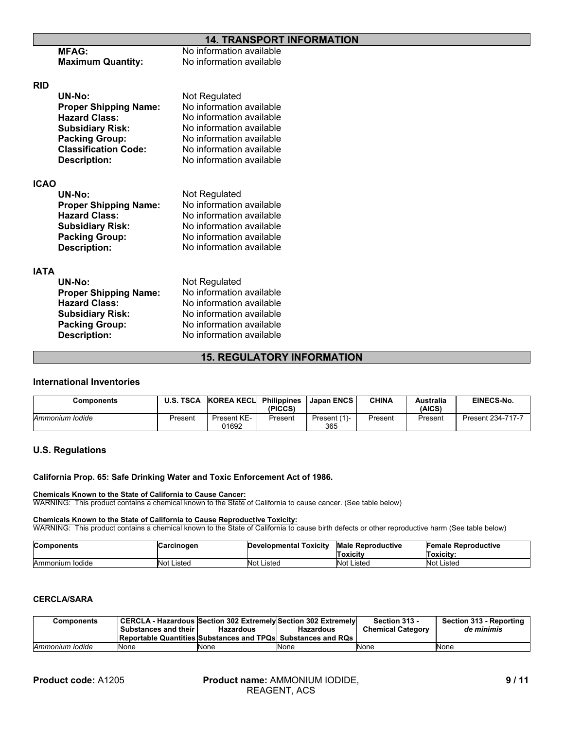# **14. TRANSPORT INFORMATION**

|             | <b>MFAG:</b>                 | No information available |  |
|-------------|------------------------------|--------------------------|--|
|             | <b>Maximum Quantity:</b>     | No information available |  |
| <b>RID</b>  |                              |                          |  |
|             | UN-No:                       | Not Regulated            |  |
|             | <b>Proper Shipping Name:</b> | No information available |  |
|             | <b>Hazard Class:</b>         | No information available |  |
|             | <b>Subsidiary Risk:</b>      | No information available |  |
|             | <b>Packing Group:</b>        | No information available |  |
|             | <b>Classification Code:</b>  | No information available |  |
|             | Description:                 | No information available |  |
| <b>ICAO</b> |                              |                          |  |
|             | UN-No:                       | Not Regulated            |  |
|             | <b>Proper Shipping Name:</b> | No information available |  |
|             | <b>Hazard Class:</b>         | No information available |  |
|             | <b>Subsidiary Risk:</b>      | No information available |  |
|             | <b>Packing Group:</b>        | No information available |  |
|             | <b>Description:</b>          | No information available |  |
| <b>IATA</b> |                              |                          |  |
|             | UN-No:                       | Not Regulated            |  |
|             | <b>Proper Shipping Name:</b> | No information available |  |
|             | <b>Hazard Class:</b>         | No information available |  |
|             | <b>Subsidiary Risk:</b>      | No information available |  |
|             | <b>Packing Group:</b>        | No information available |  |
|             | <b>Description:</b>          | No information available |  |
|             |                              |                          |  |

## **15. REGULATORY INFORMATION**

#### **International Inventories**

| <b>Components</b> |         | U.S. TSCA KOREA KECL | <b>Philippines</b><br>(PICCS) | <b>Japan ENCS</b>   | <b>CHINA</b> | <b>Australia</b><br>(AICS) | EINECS-No.        |
|-------------------|---------|----------------------|-------------------------------|---------------------|--------------|----------------------------|-------------------|
| Ammonium Iodide   | Present | Present KE-<br>01692 | Present                       | Present (1)-<br>365 | Present      | Present                    | Present 234-717-7 |

#### **U.S. Regulations**

#### **California Prop. 65: Safe Drinking Water and Toxic Enforcement Act of 1986.**

**Chemicals Known to the State of California to Cause Cancer:** WARNING: This product contains a chemical known to the State of California to cause cancer. (See table below)

#### **Chemicals Known to the State of California to Cause Reproductive Toxicity:**

WARNING: This product contains a chemical known to the State of California to cause birth defects or other reproductive harm (See table below)

| <b>Components</b> | Carcinogen | <b>Developmental Toxicity</b> | <b>Male Reproductive</b><br>Toxicitv | <b>Female Reproductive</b><br>Toxicitv: |
|-------------------|------------|-------------------------------|--------------------------------------|-----------------------------------------|
| Ammonium Iodide   | Not Listed | <b>Not Listed</b>             | Not '<br>Listed                      | Not Listed                              |

# **CERCLA/SARA**

| Components      |                             |                                                                       |                  | Section 313 -            | Section 313 - Reporting |
|-----------------|-----------------------------|-----------------------------------------------------------------------|------------------|--------------------------|-------------------------|
|                 | <b>Substances and their</b> | Hazardous                                                             | <b>Hazardous</b> | <b>Chemical Category</b> | de minimis              |
|                 |                             | <b>Reportable Quantities Substances and TPQs Substances and RQs  </b> |                  |                          |                         |
| Ammonium Iodide | None                        | None                                                                  | None             | None                     | <b>None</b>             |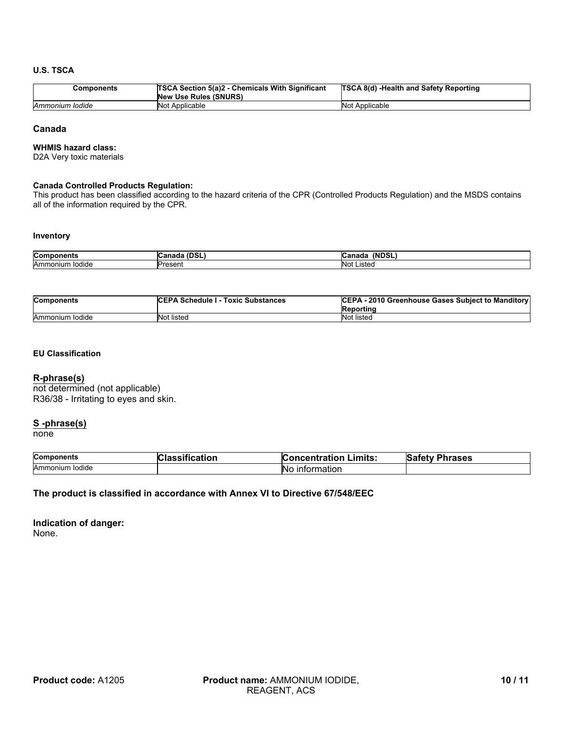#### **U.S. TSCA**

| Components      | <b>TSCA Section 5(a)2 - Chemicals With Significant</b><br>New Use Rules (SNURS) | <b>TSCA 8(d) -Health and Safety Reporting</b> |
|-----------------|---------------------------------------------------------------------------------|-----------------------------------------------|
| Ammonium Iodide | Not Applicable                                                                  | Not Applicable                                |

#### **Canada**

#### **WHMIS hazard class:**

D2A Very toxic materials

#### **Canada Controlled Products Regulation:**

This product has been classified according to the hazard criteria of the CPR (Controlled Products Regulation) and the MSDS contains all of the information required by the CPR.

#### **Inventory**

| <b>Com</b><br>. <b>.</b> .<br>onents | $\sim$ $\sim$ $\sim$<br>$\sim$<br>ם טש<br>wa.<br>iaud | <b>INDSI</b><br>DSL<br>$-$<br>sanaud |
|--------------------------------------|-------------------------------------------------------|--------------------------------------|
| Ammonium                             | Jron                                                  | .istec                               |
| <b>lodide</b>                        | . ७७७ । ।                                             | N <sub>0</sub>                       |

| <b>Components</b> | <b>ICEPA Schedule I - Toxic Substances</b> | CEPA - 2010 Greenhouse Gases Subject to Manditory<br>Reporting |
|-------------------|--------------------------------------------|----------------------------------------------------------------|
| Ammonium Iodide   | Not listed                                 | Not listed                                                     |

#### **EU Classification**

#### **R-phrase(s)**

not determined (not applicable) R36/38 - Irritating to eyes and skin.

# **S -phrase(s)**

none

| <b>Components</b>    | catior | -imits:                | lS.     |
|----------------------|--------|------------------------|---------|
|                      | - 1    | oncentration           | Phrases |
| .<br>Ammonium Iodide |        | ›rmatıon<br>IN٢<br>ınt |         |

#### **The product is classified in accordance with Annex VI to Directive 67/548/EEC**

#### **Indication of danger:** None.